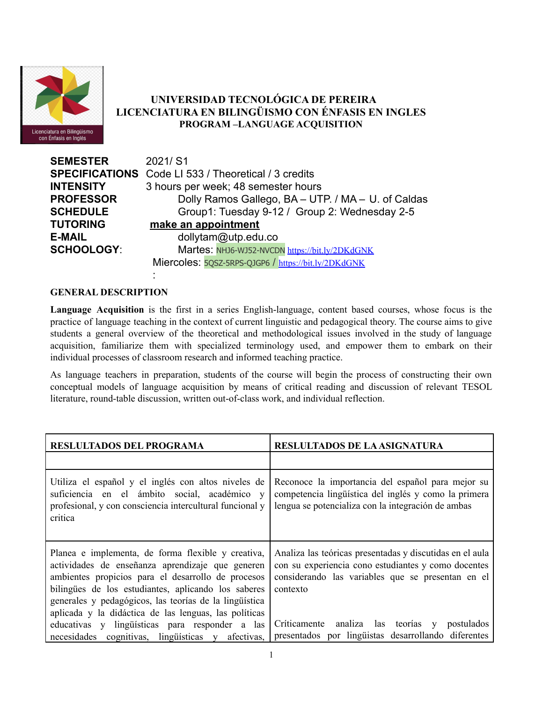

# **UNIVERSIDAD TECNOLÓGICA DE PEREIRA LICENCIATURA EN BILINGÜISMO CON ÉNFASIS EN INGLES PROGRAM –LANGUAGE ACQUISITION**

| <b>SEMESTER</b>   | 2021/S1                                                     |  |  |
|-------------------|-------------------------------------------------------------|--|--|
|                   | <b>SPECIFICATIONS</b> Code LI 533 / Theoretical / 3 credits |  |  |
| <b>INTENSITY</b>  | 3 hours per week; 48 semester hours                         |  |  |
| <b>PROFESSOR</b>  | Dolly Ramos Gallego, BA - UTP. / MA - U. of Caldas          |  |  |
| <b>SCHEDULE</b>   | Group1: Tuesday 9-12 / Group 2: Wednesday 2-5               |  |  |
| TUTORING          | make an appointment                                         |  |  |
| E-MAIL            | dollytam@utp.edu.co                                         |  |  |
| <b>SCHOOLOGY:</b> | Martes: NHJ6-WJ52-NVCDN https://bit.ly/2DKdGNK              |  |  |
|                   | Miercoles: 5QSZ-5RPS-QJGP6 / https://bit.ly/2DKdGNK         |  |  |

## **GENERAL DESCRIPTION**

:

**Language Acquisition** is the first in a series English-language, content based courses, whose focus is the practice of language teaching in the context of current linguistic and pedagogical theory. The course aims to give students a general overview of the theoretical and methodological issues involved in the study of language acquisition, familiarize them with specialized terminology used, and empower them to embark on their individual processes of classroom research and informed teaching practice.

As language teachers in preparation, students of the course will begin the process of constructing their own conceptual models of language acquisition by means of critical reading and discussion of relevant TESOL literature, round-table discussion, written out-of-class work, and individual reflection.

| RESLULTADOS DEL PROGRAMA                                                                                                                                                                                                                                                                                                               | <b>RESLULTADOS DE LA ASIGNATURA</b>                                                                                                                                              |  |  |
|----------------------------------------------------------------------------------------------------------------------------------------------------------------------------------------------------------------------------------------------------------------------------------------------------------------------------------------|----------------------------------------------------------------------------------------------------------------------------------------------------------------------------------|--|--|
|                                                                                                                                                                                                                                                                                                                                        |                                                                                                                                                                                  |  |  |
| Utiliza el español y el inglés con altos niveles de<br>suficiencia en el ámbito social, académico y<br>profesional, y con consciencia intercultural funcional y<br>critica                                                                                                                                                             | Reconoce la importancia del español para mejor su<br>competencia lingüística del inglés y como la primera<br>lengua se potencializa con la integración de ambas                  |  |  |
| Planea e implementa, de forma flexible y creativa,<br>actividades de enseñanza aprendizaje que generen<br>ambientes propicios para el desarrollo de procesos<br>bilingües de los estudiantes, aplicando los saberes<br>generales y pedagógicos, las teorías de la lingüística<br>aplicada y la didáctica de las lenguas, las políticas | Analiza las teóricas presentadas y discutidas en el aula<br>con su experiencia cono estudiantes y como docentes<br>considerando las variables que se presentan en el<br>contexto |  |  |
| educativas y lingüísticas para responder a las<br>necesidades cognitivas, lingüísticas y afectivas,                                                                                                                                                                                                                                    | Críticamente analiza las teorías y<br>postulados<br>presentados por lingüistas desarrollando diferentes                                                                          |  |  |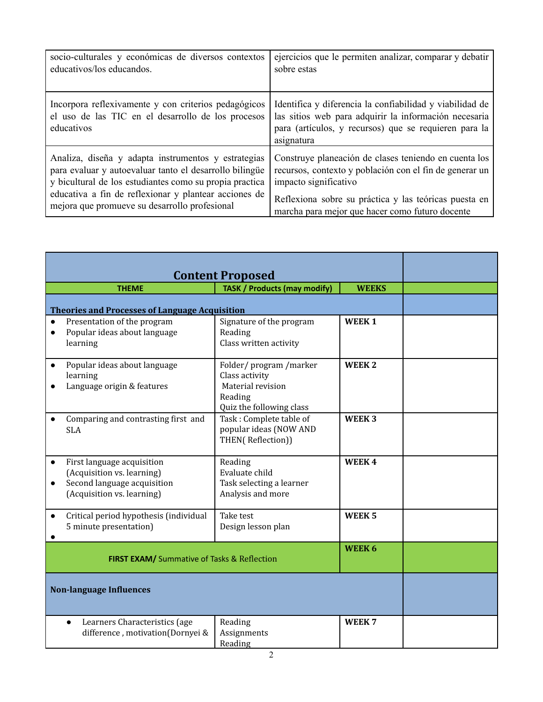| socio-culturales y económicas de diversos contextos                                                                      | ejercicios que le permiten analizar, comparar y debatir                                                                                                                                  |
|--------------------------------------------------------------------------------------------------------------------------|------------------------------------------------------------------------------------------------------------------------------------------------------------------------------------------|
| educativos/los educandos.                                                                                                | sobre estas                                                                                                                                                                              |
| Incorpora reflexivamente y con criterios pedagógicos<br>el uso de las TIC en el desarrollo de los procesos<br>educativos | Identifica y diferencia la confiabilidad y viabilidad de<br>las sitios web para adquirir la información necesaria<br>para (artículos, y recursos) que se requieren para la<br>asignatura |
| Analiza, diseña y adapta instrumentos y estrategias                                                                      | Construye planeación de clases teniendo en cuenta los                                                                                                                                    |
| para evaluar y autoevaluar tanto el desarrollo bilingüe                                                                  | recursos, contexto y población con el fin de generar un                                                                                                                                  |
| y bicultural de los estudiantes como su propia practica                                                                  | impacto significativo                                                                                                                                                                    |
| educativa a fin de reflexionar y plantear acciones de                                                                    | Reflexiona sobre su práctica y las teóricas puesta en                                                                                                                                    |
| mejora que promueve su desarrollo profesional                                                                            | marcha para mejor que hacer como futuro docente                                                                                                                                          |

|                                                              | <b>Content Proposed</b>                                                                                               |                                                                                                     |                   |  |
|--------------------------------------------------------------|-----------------------------------------------------------------------------------------------------------------------|-----------------------------------------------------------------------------------------------------|-------------------|--|
|                                                              | <b>THEME</b>                                                                                                          | <b>TASK / Products (may modify)</b>                                                                 | <b>WEEKS</b>      |  |
|                                                              | <b>Theories and Processes of Language Acquisition</b>                                                                 |                                                                                                     |                   |  |
|                                                              | Presentation of the program<br>Popular ideas about language<br>learning                                               | Signature of the program<br>Reading<br>Class written activity                                       | <b>WEEK1</b>      |  |
|                                                              | Popular ideas about language<br>learning<br>Language origin & features                                                | Folder/program/marker<br>Class activity<br>Material revision<br>Reading<br>Quiz the following class | WEEK <sub>2</sub> |  |
|                                                              | Comparing and contrasting first and<br><b>SLA</b>                                                                     | Task: Complete table of<br>popular ideas (NOW AND<br>THEN(Reflection))                              | WEEK <sub>3</sub> |  |
|                                                              | First language acquisition<br>(Acquisition vs. learning)<br>Second language acquisition<br>(Acquisition vs. learning) | Reading<br>Evaluate child<br>Task selecting a learner<br>Analysis and more                          | WEEK4             |  |
|                                                              | Critical period hypothesis (individual<br>5 minute presentation)                                                      | Take test<br>Design lesson plan                                                                     | WEEK <sub>5</sub> |  |
| WEEK 6<br><b>FIRST EXAM/</b> Summative of Tasks & Reflection |                                                                                                                       |                                                                                                     |                   |  |
| <b>Non-language Influences</b>                               |                                                                                                                       |                                                                                                     |                   |  |
|                                                              | Learners Characteristics (age<br>$\bullet$<br>difference, motivation(Dornyei &                                        | Reading<br>Assignments<br>Reading                                                                   | WEEK <sub>7</sub> |  |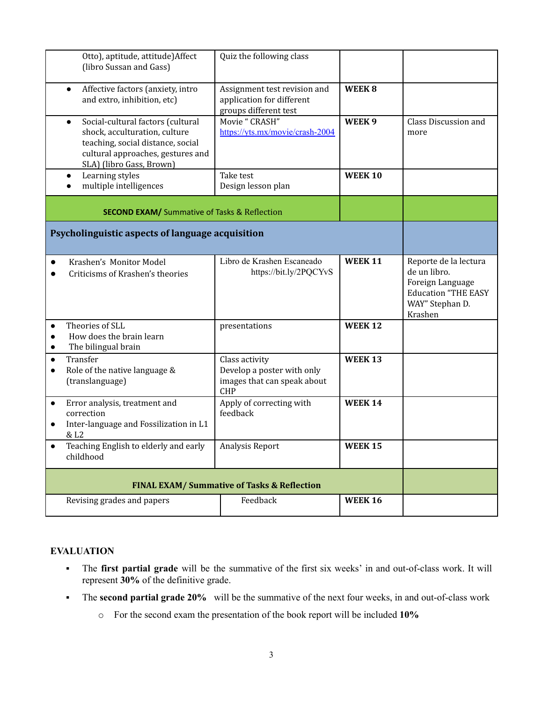| Otto), aptitude, attitude) Affect<br>(libro Sussan and Gass)                                                                                                                          | Quiz the following class                                                                  |                   |                                                                                                                       |
|---------------------------------------------------------------------------------------------------------------------------------------------------------------------------------------|-------------------------------------------------------------------------------------------|-------------------|-----------------------------------------------------------------------------------------------------------------------|
| Affective factors (anxiety, intro<br>$\bullet$<br>and extro, inhibition, etc)                                                                                                         | Assignment test revision and<br>application for different<br>groups different test        | WEEK8             |                                                                                                                       |
| Social-cultural factors (cultural<br>$\bullet$<br>shock, acculturation, culture<br>teaching, social distance, social<br>cultural approaches, gestures and<br>SLA) (libro Gass, Brown) | Movie "CRASH"<br>https://yts.mx/movie/crash-2004                                          | WEEK <sub>9</sub> | Class Discussion and<br>more                                                                                          |
| Learning styles<br>$\bullet$<br>multiple intelligences                                                                                                                                | Take test<br>Design lesson plan                                                           | <b>WEEK 10</b>    |                                                                                                                       |
| <b>SECOND EXAM/</b> Summative of Tasks & Reflection                                                                                                                                   |                                                                                           |                   |                                                                                                                       |
| Psycholinguistic aspects of language acquisition                                                                                                                                      |                                                                                           |                   |                                                                                                                       |
| Krashen's Monitor Model<br>Criticisms of Krashen's theories                                                                                                                           | Libro de Krashen Escaneado<br>https://bit.ly/2PQCYvS                                      | <b>WEEK 11</b>    | Reporte de la lectura<br>de un libro.<br>Foreign Language<br><b>Education "THE EASY</b><br>WAY" Stephan D.<br>Krashen |
| Theories of SLL<br>$\bullet$<br>How does the brain learn<br>The bilingual brain<br>$\bullet$                                                                                          | presentations                                                                             | <b>WEEK 12</b>    |                                                                                                                       |
| Transfer<br>$\bullet$<br>Role of the native language &<br>$\bullet$<br>(translanguage)                                                                                                | Class activity<br>Develop a poster with only<br>images that can speak about<br><b>CHP</b> | <b>WEEK 13</b>    |                                                                                                                       |
| Error analysis, treatment and<br>$\bullet$<br>correction<br>Inter-language and Fossilization in L1<br>& L2                                                                            | Apply of correcting with<br>feedback                                                      | <b>WEEK 14</b>    |                                                                                                                       |
| Teaching English to elderly and early<br>childhood                                                                                                                                    | Analysis Report                                                                           | <b>WEEK 15</b>    |                                                                                                                       |
| <b>FINAL EXAM/ Summative of Tasks &amp; Reflection</b>                                                                                                                                |                                                                                           |                   |                                                                                                                       |
| Revising grades and papers                                                                                                                                                            | Feedback                                                                                  | <b>WEEK 16</b>    |                                                                                                                       |

### **EVALUATION**

- The **first partial grade** will be the summative of the first six weeks' in and out-of-class work. It will represent **30%** of the definitive grade.
- The **second partial grade 20%** will be the summative of the next four weeks, in and out-of-class work
	- o For the second exam the presentation of the book report will be included **10%**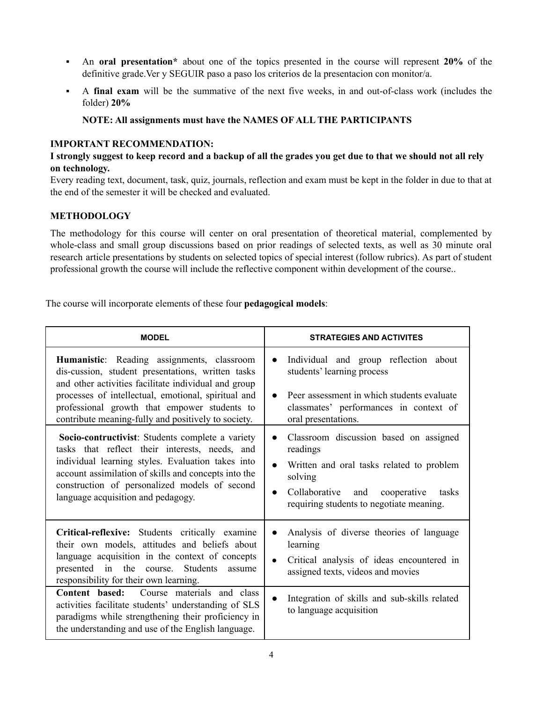- An **oral presentation\*** about one of the topics presented in the course will represent **20%** of the definitive grade.Ver y SEGUIR paso a paso los criterios de la presentacion con monitor/a.
- A **final exam** will be the summative of the next five weeks, in and out-of-class work (includes the folder) **20%**

## **NOTE: All assignments must have the NAMES OF ALL THE PARTICIPANTS**

## **IMPORTANT RECOMMENDATION:**

### I strongly suggest to keep record and a backup of all the grades you get due to that we should not all rely **on technology.**

Every reading text, document, task, quiz, journals, reflection and exam must be kept in the folder in due to that at the end of the semester it will be checked and evaluated.

### **METHODOLOGY**

The methodology for this course will center on oral presentation of theoretical material, complemented by whole-class and small group discussions based on prior readings of selected texts, as well as 30 minute oral research article presentations by students on selected topics of special interest (follow rubrics). As part of student professional growth the course will include the reflective component within development of the course..

The course will incorporate elements of these four **pedagogical models**:

| <b>MODEL</b>                                                                                                                                                                                                                                                                                                          | <b>STRATEGIES AND ACTIVITES</b>                                                                                                                                                                                                               |  |  |
|-----------------------------------------------------------------------------------------------------------------------------------------------------------------------------------------------------------------------------------------------------------------------------------------------------------------------|-----------------------------------------------------------------------------------------------------------------------------------------------------------------------------------------------------------------------------------------------|--|--|
| Humanistic: Reading assignments, classroom<br>dis-cussion, student presentations, written tasks<br>and other activities facilitate individual and group<br>processes of intellectual, emotional, spiritual and<br>professional growth that empower students to<br>contribute meaning-fully and positively to society. | Individual and group reflection about<br>$\bullet$<br>students' learning process<br>Peer assessment in which students evaluate<br>$\bullet$<br>classmates' performances in context of<br>oral presentations.                                  |  |  |
| Socio-contructivist: Students complete a variety<br>tasks that reflect their interests, needs, and<br>individual learning styles. Evaluation takes into<br>account assimilation of skills and concepts into the<br>construction of personalized models of second<br>language acquisition and pedagogy.                | Classroom discussion based on assigned<br>$\bullet$<br>readings<br>Written and oral tasks related to problem<br>$\bullet$<br>solving<br>Collaborative<br>and<br>cooperative<br>tasks<br>$\bullet$<br>requiring students to negotiate meaning. |  |  |
| Critical-reflexive: Students critically examine<br>their own models, attitudes and beliefs about<br>language acquisition in the context of concepts<br>presented in the course. Students<br>assume<br>responsibility for their own learning.                                                                          | Analysis of diverse theories of language<br>$\bullet$<br>learning<br>Critical analysis of ideas encountered in<br>$\bullet$<br>assigned texts, videos and movies                                                                              |  |  |
| <b>Content based:</b> Course materials and class<br>activities facilitate students' understanding of SLS<br>paradigms while strengthening their proficiency in<br>the understanding and use of the English language.                                                                                                  | Integration of skills and sub-skills related<br>$\bullet$<br>to language acquisition                                                                                                                                                          |  |  |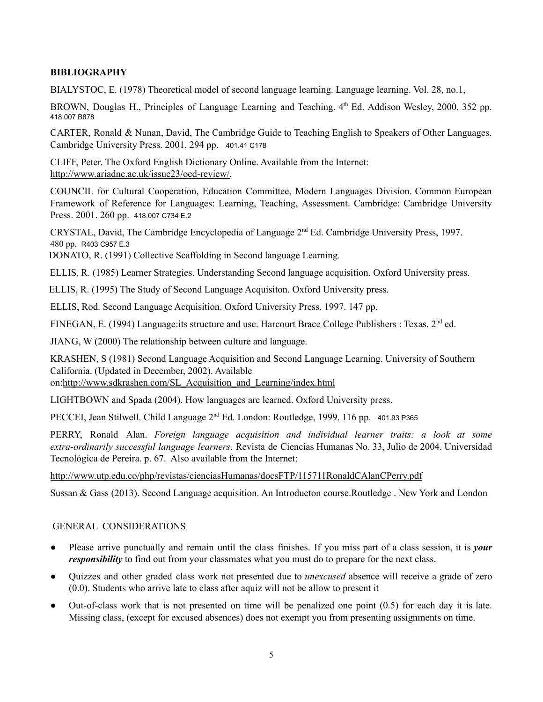## **BIBLIOGRAPHY**

BIALYSTOC, E. (1978) Theoretical model of second language learning. Language learning. Vol. 28, no.1,

BROWN, Douglas H., Principles of Language Learning and Teaching. 4th Ed. Addison Wesley, 2000. 352 pp. 418.007 B878

CARTER, Ronald & Nunan, David, The Cambridge Guide to Teaching English to Speakers of Other Languages. Cambridge University Press. 2001. 294 pp. 401.41 C178

CLIFF, Peter. The Oxford English Dictionary Online. Available from the Internet: [http://www.ariadne.ac.uk/issue23/oed-review/.](http://www.ariadne.ac.uk/issue23/oed-review/)

COUNCIL for Cultural Cooperation, Education Committee, Modern Languages Division. Common European Framework of Reference for Languages: Learning, Teaching, Assessment. Cambridge: Cambridge University Press. 2001. 260 pp. 418.007 C734 E.2

CRYSTAL, David, The Cambridge Encyclopedia of Language 2<sup>nd</sup> Ed. Cambridge University Press, 1997. 480 pp. R403 C957 E.3

DONATO, R. (1991) Collective Scaffolding in Second language Learning.

ELLIS, R. (1985) Learner Strategies. Understanding Second language acquisition. Oxford University press.

ELLIS, R. (1995) The Study of Second Language Acquisiton. Oxford University press.

ELLIS, Rod. Second Language Acquisition. Oxford University Press. 1997. 147 pp.

FINEGAN, E. (1994) Language: its structure and use. Harcourt Brace College Publishers : Texas. 2<sup>nd</sup> ed.

JIANG, W (2000) The relationship between culture and language.

KRASHEN, S (1981) Second Language Acquisition and Second Language Learning. University of Southern California. (Updated in December, 2002). Available

on:[http://www.sdkrashen.com/SL\\_Acquisition\\_and\\_Learning/index.html](http://www.sdkrashen.com/SL_Acquisition_and_Learning/index.html)

LIGHTBOWN and Spada (2004). How languages are learned. Oxford University press.

PECCEI, Jean Stilwell. Child Language 2<sup>nd</sup> Ed. London: Routledge, 1999. 116 pp. 401.93 P365

PERRY, Ronald Alan. *Foreign language acquisition and individual learner traits: a look at some extra-ordinarily successful language learners*. Revista de Ciencias Humanas No. 33, Julio de 2004. Universidad Tecnológica de Pereira. p. 67. Also available from the Internet:

<http://www.utp.edu.co/php/revistas/cienciasHumanas/docsFTP/115711RonaldCAlanCPerry.pdf>

Sussan & Gass (2013). Second Language acquisition. An Introducton course.Routledge . New York and London

### GENERAL CONSIDERATIONS

- Please arrive punctually and remain until the class finishes. If you miss part of a class session, it is *your responsibility* to find out from your classmates what you must do to prepare for the next class.
- Quizzes and other graded class work not presented due to *unexcused* absence will receive a grade of zero (0.0). Students who arrive late to class after aquiz will not be allow to present it
- Out-of-class work that is not presented on time will be penalized one point  $(0.5)$  for each day it is late. Missing class, (except for excused absences) does not exempt you from presenting assignments on time.